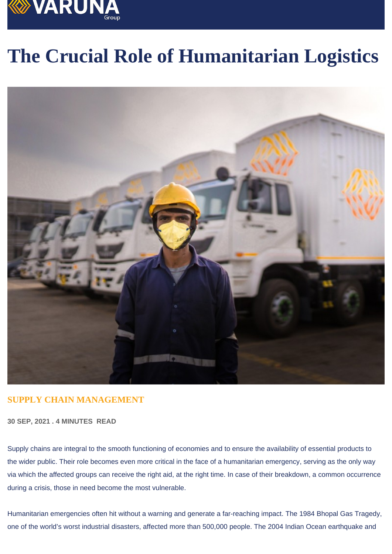# The Crucial Role of Humanitarian Logistics

## SUPPLY CHAIN MANAGEMENT

30 SEP, 2021 . 4 MINUTES READ

Supply chains are integral to the smooth functioning of economies and to ensure the availability of essential products to the wider public. Their role becomes even more critical in the face of a humanitarian emergency, serving as the only way via which the affected groups can receive the right aid, at the right time. In case of their breakdown, a common occurrence during a crisis, those in need become the most vulnerable.

Humanitarian emergencies often hit without a warning and generate a far-reaching impact. The 1984 Bhopal Gas Tragedy, one of the world's worst industrial disasters, affected more than 500,000 people. The 2004 Indian Ocean earthquake and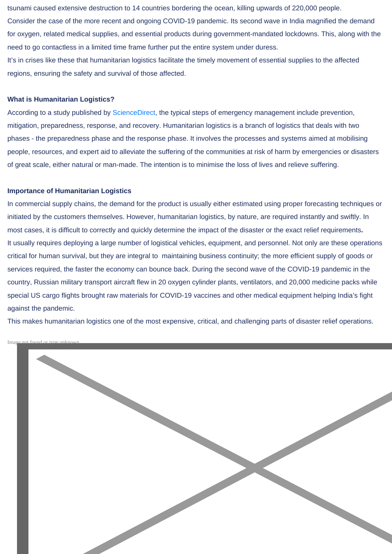tsunami caused extensive destruction to 14 countries bordering the ocean, killing upwards of 220,000 people. Consider the case of the more recent and ongoing COVID-19 pandemic. Its second wave in India magnified the demand for oxygen, related medical supplies, and essential products during government-mandated lockdowns. This, along with the need to go contactless in a limited time frame further put the entire system under duress. It's in crises like these that humanitarian logistics facilitate the timely movement of essential supplies to the affected regions, ensuring the safety and survival of those affected.

#### What is Humanitarian Logistics?

According to a study published by [ScienceDirect,](https://www.sciencedirect.com/topics/engineering/humanitarian-logistics) the typical steps of emergency management include prevention, mitigation, preparedness, response, and recovery. Humanitarian logistics is a branch of logistics that deals with two phases - the preparedness phase and the response phase. It involves the processes and systems aimed at mobilising people, resources, and expert aid to alleviate the suffering of the communities at risk of harm by emergencies or disasters of great scale, either natural or man-made. The intention is to minimise the loss of lives and relieve suffering.

#### Importance of Humanitarian Logistics

In commercial supply chains, the demand for the product is usually either estimated using proper forecasting techniques or initiated by the customers themselves. However, humanitarian logistics, by nature, are required instantly and swiftly. In most cases, it is difficult to correctly and quickly determine the impact of the disaster or the exact relief requirements. It usually requires deploying a large number of logistical vehicles, equipment, and personnel. Not only are these operations critical for human survival, but they are integral to maintaining business continuity; the more efficient supply of goods or services required, the faster the economy can bounce back. During the second wave of the COVID-19 pandemic in the country, Russian military transport aircraft flew in 20 oxygen cylinder plants, ventilators, and 20,000 medicine packs while special US cargo flights brought raw materials for COVID-19 vaccines and other medical equipment helping India's fight against the pandemic.

This makes humanitarian logistics one of the most expensive, critical, and challenging parts of disaster relief operations.

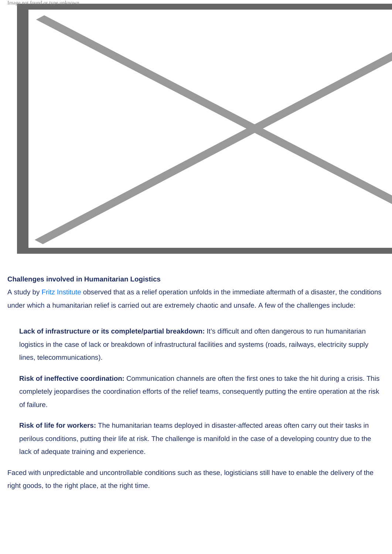

### Challenges involved in Humanitarian Logistics

A study by [Fritz Institute](http://www.fritzinstitute.org/pdfs/whitepaper/enablingdisasterresponse.pdf) observed that as a relief operation unfolds in the immediate aftermath of a disaster, the conditions under which a humanitarian relief is carried out are extremely chaotic and unsafe. A few of the challenges include:

Lack of infrastructure or its complete/partial breakdown: It's difficult and often dangerous to run humanitarian logistics in the case of lack or breakdown of infrastructural facilities and systems (roads, railways, electricity supply lines, telecommunications).

Risk of ineffective coordination: Communication channels are often the first ones to take the hit during a crisis. This completely jeopardises the coordination efforts of the relief teams, consequently putting the entire operation at the risk of failure.

Risk of life for workers: The humanitarian teams deployed in disaster-affected areas often carry out their tasks in perilous conditions, putting their life at risk. The challenge is manifold in the case of a developing country due to the lack of adequate training and experience.

Faced with unpredictable and uncontrollable conditions such as these, logisticians still have to enable the delivery of the right goods, to the right place, at the right time.